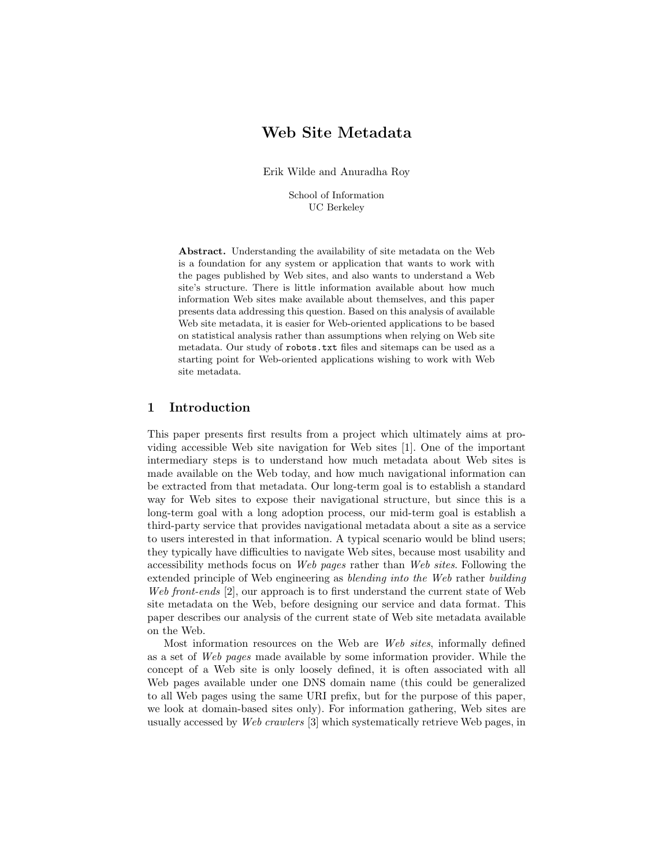# <span id="page-0-0"></span>Web Site Metadata

Erik Wilde and Anuradha Roy

School of Information UC Berkeley

Abstract. Understanding the availability of site metadata on the Web is a foundation for any system or application that wants to work with the pages published by Web sites, and also wants to understand a Web site's structure. There is little information available about how much information Web sites make available about themselves, and this paper presents data addressing this question. Based on this analysis of available Web site metadata, it is easier for Web-oriented applications to be based on statistical analysis rather than assumptions when relying on Web site metadata. Our study of robots.txt files and sitemaps can be used as a starting point for Web-oriented applications wishing to work with Web site metadata.

#### 1 Introduction

This paper presents first results from a project which ultimately aims at providing accessible Web site navigation for Web sites [\[1\]](#page-13-0). One of the important intermediary steps is to understand how much metadata about Web sites is made available on the Web today, and how much navigational information can be extracted from that metadata. Our long-term goal is to establish a standard way for Web sites to expose their navigational structure, but since this is a long-term goal with a long adoption process, our mid-term goal is establish a third-party service that provides navigational metadata about a site as a service to users interested in that information. A typical scenario would be blind users; they typically have difficulties to navigate Web sites, because most usability and accessibility methods focus on Web pages rather than Web sites. Following the extended principle of Web engineering as blending into the Web rather building Web front-ends [\[2\]](#page-14-0), our approach is to first understand the current state of Web site metadata on the Web, before designing our service and data format. This paper describes our analysis of the current state of Web site metadata available on the Web.

Most information resources on the Web are Web sites, informally defined as a set of Web pages made available by some information provider. While the concept of a Web site is only loosely defined, it is often associated with all Web pages available under one DNS domain name (this could be generalized to all Web pages using the same URI prefix, but for the purpose of this paper, we look at domain-based sites only). For information gathering, Web sites are usually accessed by Web crawlers [\[3\]](#page-14-0) which systematically retrieve Web pages, in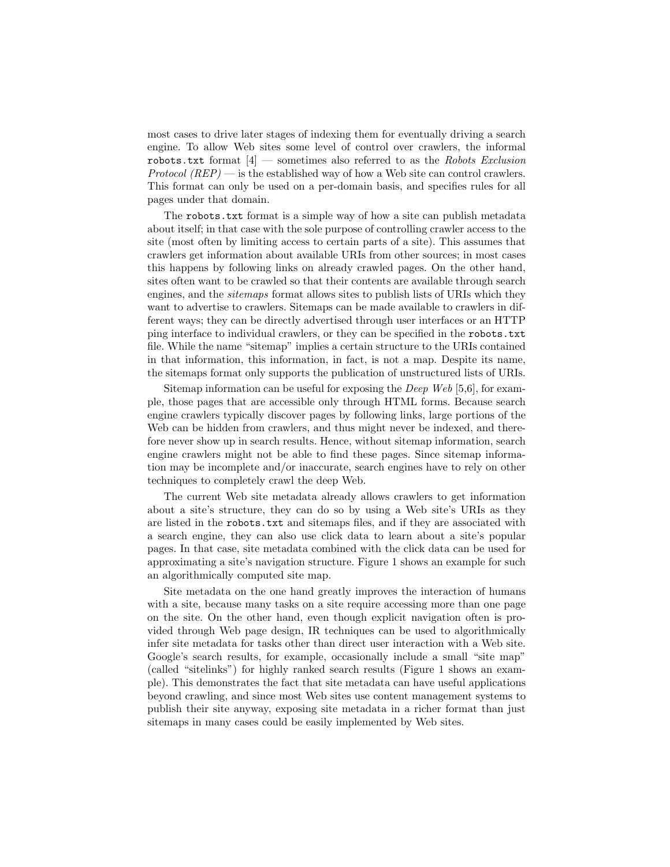most cases to drive later stages of indexing them for eventually driving a search engine. To allow Web sites some level of control over crawlers, the informal robots.txt format  $[4]$  — sometimes also referred to as the Robots Exclusion *Protocol*  $(REP)$  — is the established way of how a Web site can control crawlers. This format can only be used on a per-domain basis, and specifies rules for all pages under that domain.

The robots.txt format is a simple way of how a site can publish metadata about itself; in that case with the sole purpose of controlling crawler access to the site (most often by limiting access to certain parts of a site). This assumes that crawlers get information about available URIs from other sources; in most cases this happens by following links on already crawled pages. On the other hand, sites often want to be crawled so that their contents are available through search engines, and the sitemaps format allows sites to publish lists of URIs which they want to advertise to crawlers. Sitemaps can be made available to crawlers in different ways; they can be directly advertised through user interfaces or an HTTP ping interface to individual crawlers, or they can be specified in the robots.txt file. While the name "sitemap" implies a certain structure to the URIs contained in that information, this information, in fact, is not a map. Despite its name, the sitemaps format only supports the publication of unstructured lists of URIs.

Sitemap information can be useful for exposing the *Deep Web*  $[5,6]$ , for example, those pages that are accessible only through HTML forms. Because search engine crawlers typically discover pages by following links, large portions of the Web can be hidden from crawlers, and thus might never be indexed, and therefore never show up in search results. Hence, without sitemap information, search engine crawlers might not be able to find these pages. Since sitemap information may be incomplete and/or inaccurate, search engines have to rely on other techniques to completely crawl the deep Web.

The current Web site metadata already allows crawlers to get information about a site's structure, they can do so by using a Web site's URIs as they are listed in the robots.txt and sitemaps files, and if they are associated with a search engine, they can also use click data to learn about a site's popular pages. In that case, site metadata combined with the click data can be used for approximating a site's navigation structure. Figure [1](#page-2-0) shows an example for such an algorithmically computed site map.

Site metadata on the one hand greatly improves the interaction of humans with a site, because many tasks on a site require accessing more than one page on the site. On the other hand, even though explicit navigation often is provided through Web page design, IR techniques can be used to algorithmically infer site metadata for tasks other than direct user interaction with a Web site. Google's search results, for example, occasionally include a small "site map" (called "sitelinks") for highly ranked search results (Figure [1](#page-2-0) shows an example). This demonstrates the fact that site metadata can have useful applications beyond crawling, and since most Web sites use content management systems to publish their site anyway, exposing site metadata in a richer format than just sitemaps in many cases could be easily implemented by Web sites.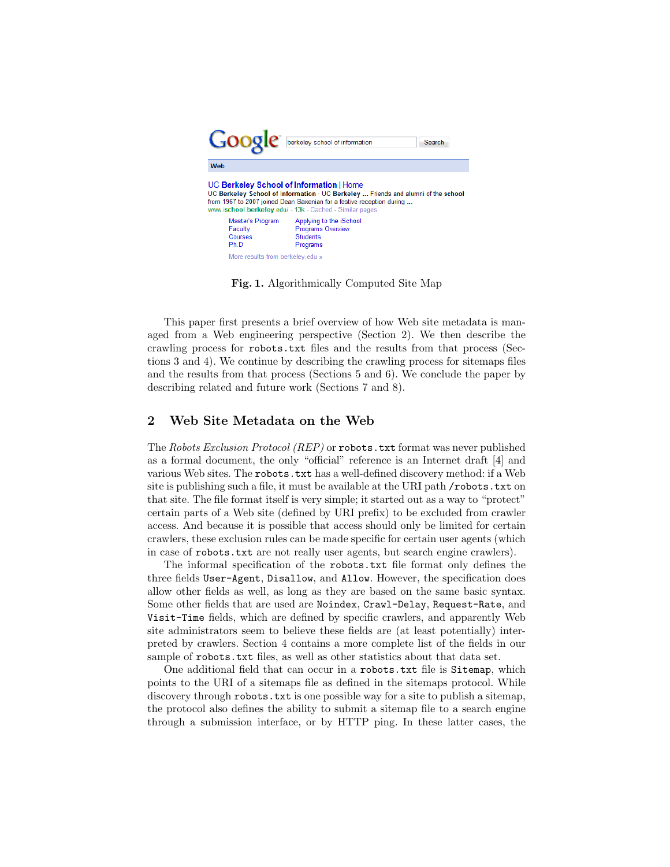<span id="page-2-0"></span>

Fig. 1. Algorithmically Computed Site Map

This paper first presents a brief overview of how Web site metadata is managed from a Web engineering perspective (Section 2). We then describe the crawling process for robots.txt files and the results from that process (Sections [3](#page-3-0) and [4\)](#page-3-0). We continue by describing the crawling process for sitemaps files and the results from that process (Sections [5](#page-7-0) and [6\)](#page-9-0). We conclude the paper by describing related and future work (Sections [7](#page-11-0) and [8\)](#page-12-0).

# 2 Web Site Metadata on the Web

The Robots Exclusion Protocol (REP) or robots.txt format was never published as a formal document, the only "official" reference is an Internet draft [\[4\]](#page-14-0) and various Web sites. The robots.txt has a well-defined discovery method: if a Web site is publishing such a file, it must be available at the URI path /robots.txt on that site. The file format itself is very simple; it started out as a way to "protect" certain parts of a Web site (defined by URI prefix) to be excluded from crawler access. And because it is possible that access should only be limited for certain crawlers, these exclusion rules can be made specific for certain user agents (which in case of robots.txt are not really user agents, but search engine crawlers).

The informal specification of the robots.txt file format only defines the three fields User-Agent, Disallow, and Allow. However, the specification does allow other fields as well, as long as they are based on the same basic syntax. Some other fields that are used are Noindex, Crawl-Delay, Request-Rate, and Visit-Time fields, which are defined by specific crawlers, and apparently Web site administrators seem to believe these fields are (at least potentially) interpreted by crawlers. Section [4](#page-3-0) contains a more complete list of the fields in our sample of robots.txt files, as well as other statistics about that data set.

One additional field that can occur in a robots.txt file is Sitemap, which points to the URI of a sitemaps file as defined in the sitemaps protocol. While discovery through robots.txt is one possible way for a site to publish a sitemap, the protocol also defines the ability to submit a sitemap file to a search engine through a submission interface, or by HTTP ping. In these latter cases, the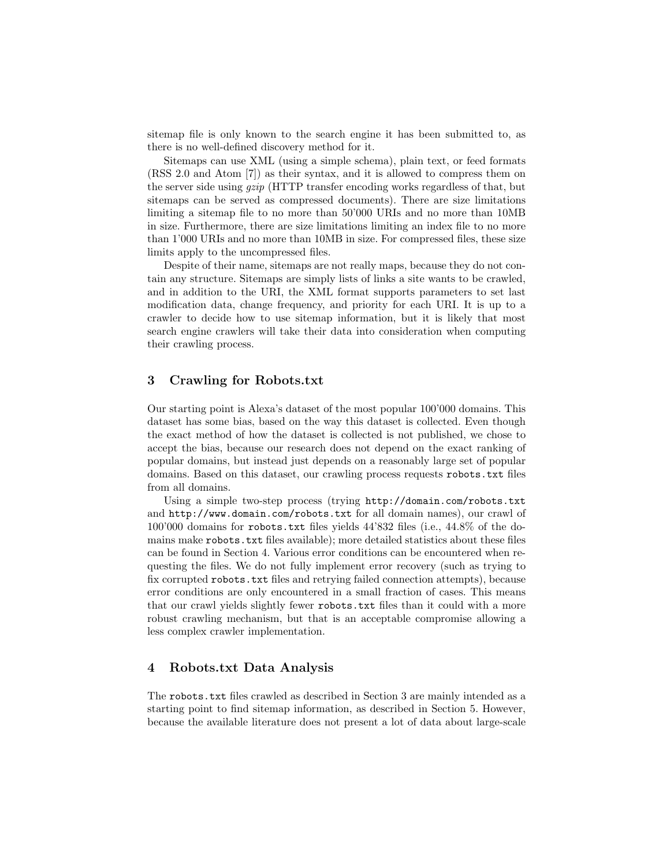<span id="page-3-0"></span>sitemap file is only known to the search engine it has been submitted to, as there is no well-defined discovery method for it.

Sitemaps can use XML (using a simple schema), plain text, or feed formats (RSS 2.0 and Atom [\[7\]](#page-14-0)) as their syntax, and it is allowed to compress them on the server side using gzip (HTTP transfer encoding works regardless of that, but sitemaps can be served as compressed documents). There are size limitations limiting a sitemap file to no more than 50'000 URIs and no more than 10MB in size. Furthermore, there are size limitations limiting an index file to no more than 1'000 URIs and no more than 10MB in size. For compressed files, these size limits apply to the uncompressed files.

Despite of their name, sitemaps are not really maps, because they do not contain any structure. Sitemaps are simply lists of links a site wants to be crawled, and in addition to the URI, the XML format supports parameters to set last modification data, change frequency, and priority for each URI. It is up to a crawler to decide how to use sitemap information, but it is likely that most search engine crawlers will take their data into consideration when computing their crawling process.

# 3 Crawling for Robots.txt

Our starting point is Alexa's dataset of the most popular 100'000 domains. This dataset has some bias, based on the way this dataset is collected. Even though the exact method of how the dataset is collected is not published, we chose to accept the bias, because our research does not depend on the exact ranking of popular domains, but instead just depends on a reasonably large set of popular domains. Based on this dataset, our crawling process requests robots.txt files from all domains.

Using a simple two-step process (trying http://domain.com/robots.txt and http://www.domain.com/robots.txt for all domain names), our crawl of 100'000 domains for robots.txt files yields 44'832 files (i.e., 44.8% of the domains make robots.txt files available); more detailed statistics about these files can be found in Section 4. Various error conditions can be encountered when requesting the files. We do not fully implement error recovery (such as trying to fix corrupted robots.txt files and retrying failed connection attempts), because error conditions are only encountered in a small fraction of cases. This means that our crawl yields slightly fewer robots.txt files than it could with a more robust crawling mechanism, but that is an acceptable compromise allowing a less complex crawler implementation.

# 4 Robots.txt Data Analysis

The robots.txt files crawled as described in Section 3 are mainly intended as a starting point to find sitemap information, as described in Section [5.](#page-7-0) However, because the available literature does not present a lot of data about large-scale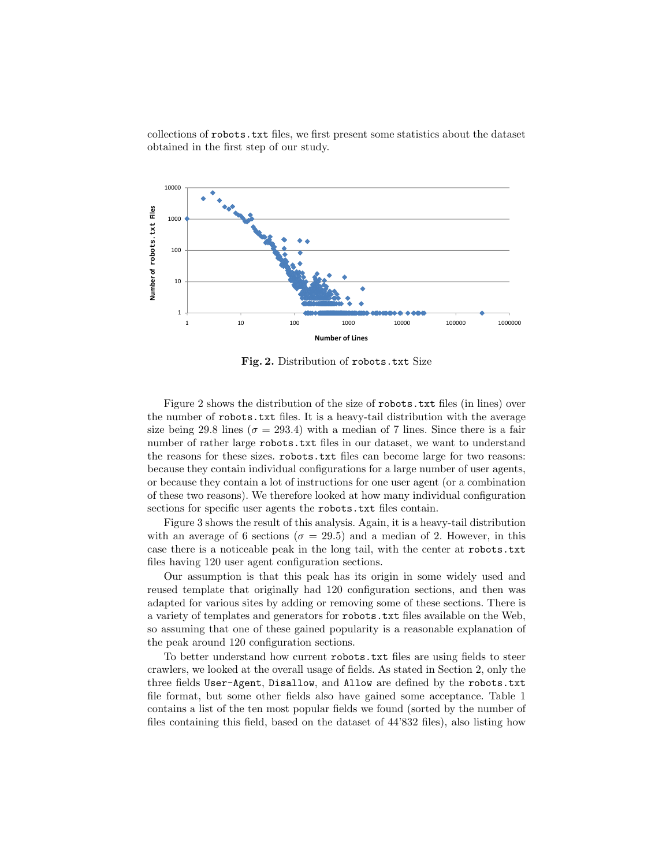collections of robots.txt files, we first present some statistics about the dataset obtained in the first step of our study.



Fig. 2. Distribution of robots.txt Size

Figure 2 shows the distribution of the size of robots.txt files (in lines) over the number of robots.txt files. It is a heavy-tail distribution with the average size being 29.8 lines ( $\sigma = 293.4$ ) with a median of 7 lines. Since there is a fair number of rather large robots.txt files in our dataset, we want to understand the reasons for these sizes. robots.txt files can become large for two reasons: because they contain individual configurations for a large number of user agents, or because they contain a lot of instructions for one user agent (or a combination of these two reasons). We therefore looked at how many individual configuration sections for specific user agents the robots.txt files contain.

Figure [3](#page-5-0) shows the result of this analysis. Again, it is a heavy-tail distribution with an average of 6 sections ( $\sigma = 29.5$ ) and a median of 2. However, in this case there is a noticeable peak in the long tail, with the center at robots.txt files having 120 user agent configuration sections.

Our assumption is that this peak has its origin in some widely used and reused template that originally had 120 configuration sections, and then was adapted for various sites by adding or removing some of these sections. There is a variety of templates and generators for robots.txt files available on the Web, so assuming that one of these gained popularity is a reasonable explanation of the peak around 120 configuration sections.

To better understand how current robots.txt files are using fields to steer crawlers, we looked at the overall usage of fields. As stated in Section [2,](#page-2-0) only the three fields User-Agent, Disallow, and Allow are defined by the robots.txt file format, but some other fields also have gained some acceptance. Table [1](#page-5-0) contains a list of the ten most popular fields we found (sorted by the number of files containing this field, based on the dataset of 44'832 files), also listing how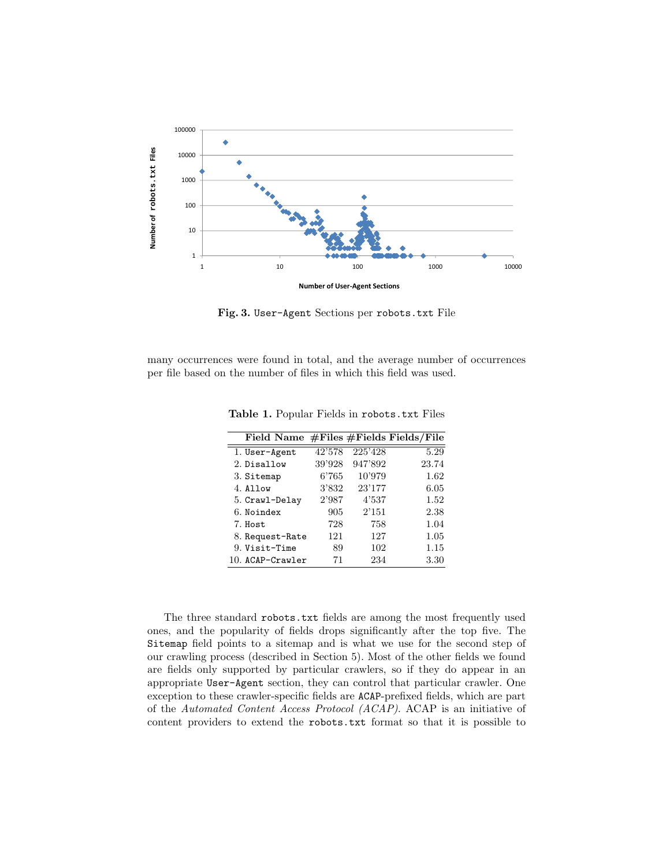<span id="page-5-0"></span>

Fig. 3. User-Agent Sections per robots.txt File

many occurrences were found in total, and the average number of occurrences per file based on the number of files in which this field was used.

| Field Name #Files #Fields Fields/File |        |         |       |
|---------------------------------------|--------|---------|-------|
| 1. User-Agent                         | 42'578 | 225'428 | 5.29  |
| 2. Disallow                           | 39'928 | 947'892 | 23.74 |
| 3. Sitemap                            | 6'765  | 10'979  | 1.62  |
| 4. Allow                              | 3'832  | 23'177  | 6.05  |
| 5. Crawl-Delay                        | 2'987  | 4'537   | 1.52  |
| 6. Noindex                            | 905    | 2'151   | 2.38  |
| 7. Host                               | 728    | 758     | 1.04  |
| 8. Request-Rate                       | 121    | 127     | 1.05  |
| 9. Visit-Time                         | 89     | 102     | 1.15  |
| 10. ACAP-Crawler                      | 71     | 234     | 3.30  |

Table 1. Popular Fields in robots.txt Files

The three standard robots.txt fields are among the most frequently used ones, and the popularity of fields drops significantly after the top five. The Sitemap field points to a sitemap and is what we use for the second step of our crawling process (described in Section [5\)](#page-7-0). Most of the other fields we found are fields only supported by particular crawlers, so if they do appear in an appropriate User-Agent section, they can control that particular crawler. One exception to these crawler-specific fields are ACAP-prefixed fields, which are part of the Automated Content Access Protocol (ACAP). ACAP is an initiative of content providers to extend the robots.txt format so that it is possible to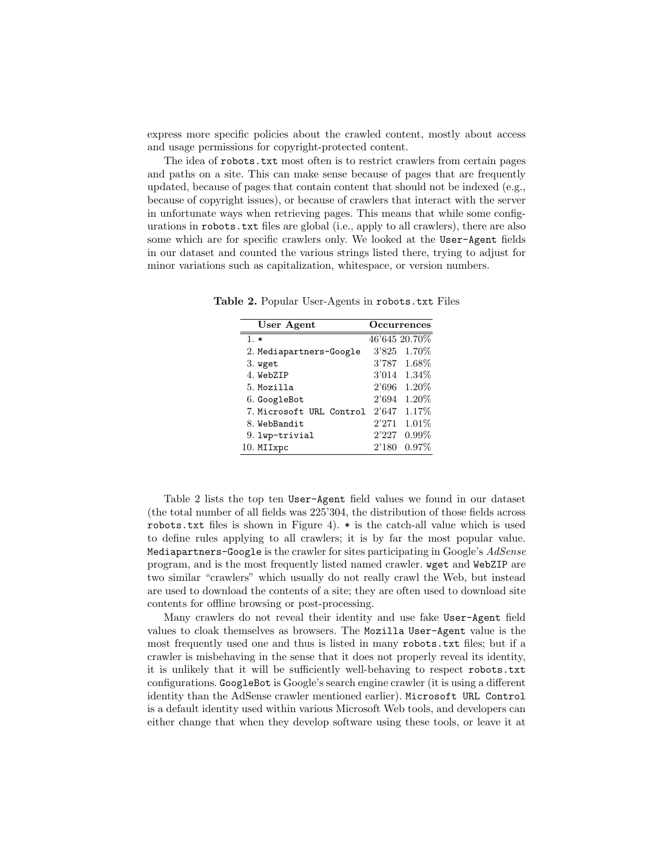<span id="page-6-0"></span>express more specific policies about the crawled content, mostly about access and usage permissions for copyright-protected content.

The idea of robots.txt most often is to restrict crawlers from certain pages and paths on a site. This can make sense because of pages that are frequently updated, because of pages that contain content that should not be indexed (e.g., because of copyright issues), or because of crawlers that interact with the server in unfortunate ways when retrieving pages. This means that while some configurations in robots.txt files are global (i.e., apply to all crawlers), there are also some which are for specific crawlers only. We looked at the User-Agent fields in our dataset and counted the various strings listed there, trying to adjust for minor variations such as capitalization, whitespace, or version numbers.

| User Agent               | <b>Occurrences</b> |
|--------------------------|--------------------|
| $1. *$                   | 46'645 20.70%      |
| 2. Mediapartners-Google  | 1.70\%<br>3'825    |
| $3.$ wget                | 3'787 1.68%        |
| 4. WebZIP                | 3'014 1.34\%       |
| 5. Mozilla               | 1.20%<br>2'696     |
| 6. GoogleBot             | 1.20%<br>2'694     |
| 7. Microsoft URL Control | 1.17\%<br>2'647    |
| 8. WebBandit             | 1.01%<br>2'271     |
| 9. lwp-trivial           | $0.99\%$<br>2'227  |
| 10. MIIxpc               | $0.97\%$<br>2'180  |

Table 2. Popular User-Agents in robots.txt Files

Table 2 lists the top ten User-Agent field values we found in our dataset (the total number of all fields was 225'304, the distribution of those fields across robots.txt files is shown in Figure [4\)](#page-7-0).  $*$  is the catch-all value which is used to define rules applying to all crawlers; it is by far the most popular value. Mediapartners-Google is the crawler for sites participating in Google's AdSense program, and is the most frequently listed named crawler. wget and WebZIP are two similar "crawlers" which usually do not really crawl the Web, but instead are used to download the contents of a site; they are often used to download site contents for offline browsing or post-processing.

Many crawlers do not reveal their identity and use fake User-Agent field values to cloak themselves as browsers. The Mozilla User-Agent value is the most frequently used one and thus is listed in many robots.txt files; but if a crawler is misbehaving in the sense that it does not properly reveal its identity, it is unlikely that it will be sufficiently well-behaving to respect robots.txt configurations. GoogleBot is Google's search engine crawler (it is using a different identity than the AdSense crawler mentioned earlier). Microsoft URL Control is a default identity used within various Microsoft Web tools, and developers can either change that when they develop software using these tools, or leave it at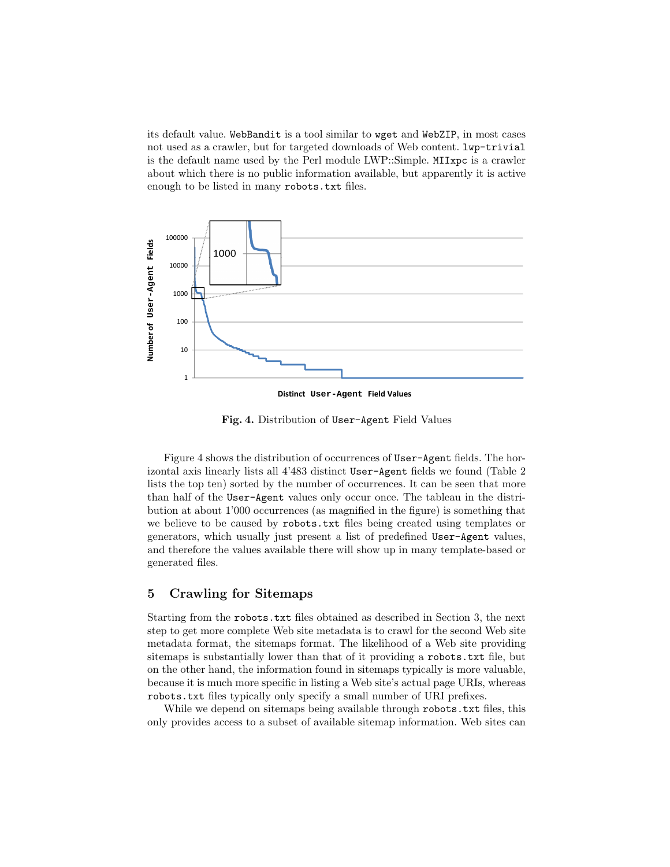<span id="page-7-0"></span>its default value. WebBandit is a tool similar to wget and WebZIP, in most cases not used as a crawler, but for targeted downloads of Web content. lwp-trivial is the default name used by the Perl module LWP::Simple. MIIxpc is a crawler about which there is no public information available, but apparently it is active enough to be listed in many robots.txt files.



Fig. 4. Distribution of User-Agent Field Values

Figure 4 shows the distribution of occurrences of User-Agent fields. The horizontal axis linearly lists all 4'483 distinct User-Agent fields we found (Table [2](#page-6-0) lists the top ten) sorted by the number of occurrences. It can be seen that more than half of the User-Agent values only occur once. The tableau in the distribution at about 1'000 occurrences (as magnified in the figure) is something that we believe to be caused by robots.txt files being created using templates or generators, which usually just present a list of predefined User-Agent values, and therefore the values available there will show up in many template-based or generated files.

# 5 Crawling for Sitemaps

Starting from the robots.txt files obtained as described in Section [3,](#page-3-0) the next step to get more complete Web site metadata is to crawl for the second Web site metadata format, the sitemaps format. The likelihood of a Web site providing sitemaps is substantially lower than that of it providing a robots.txt file, but on the other hand, the information found in sitemaps typically is more valuable, because it is much more specific in listing a Web site's actual page URIs, whereas robots.txt files typically only specify a small number of URI prefixes.

While we depend on sitemaps being available through robots.txt files, this only provides access to a subset of available sitemap information. Web sites can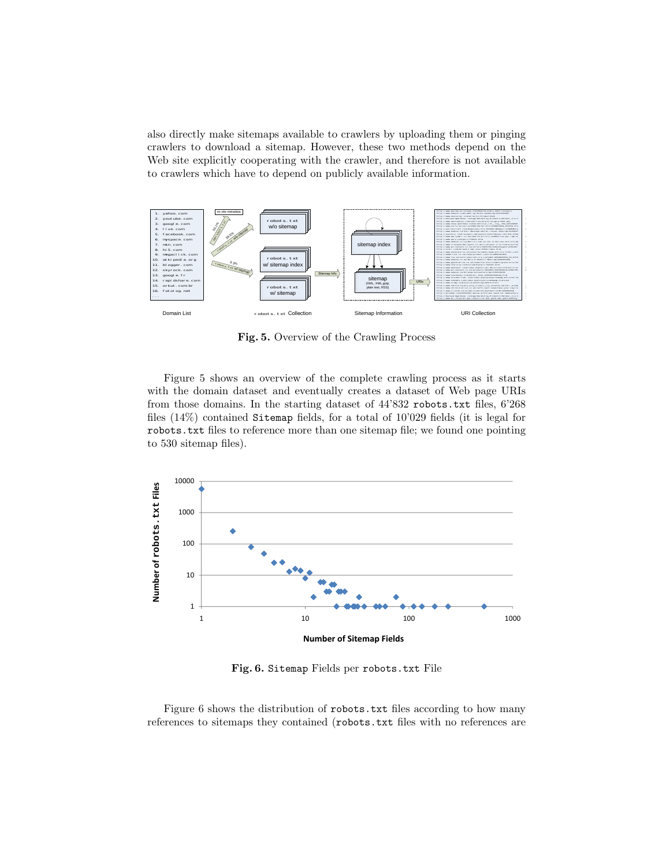also directly make sitemaps available to crawlers by uploading them or pinging crawlers to download a sitemap. However, these two methods depend on the Web site explicitly cooperating with the crawler, and therefore is not available to crawlers which have to depend on publicly available information.



Fig. 5. Overview of the Crawling Process

Figure 5 shows an overview of the complete crawling process as it starts with the domain dataset and eventually creates a dataset of Web page URIs from those domains. In the starting dataset of 44'832 robots.txt files, 6'268 files (14%) contained Sitemap fields, for a total of 10'029 fields (it is legal for robots.txt files to reference more than one sitemap file; we found one pointing to 530 sitemap files).



Fig. 6. Sitemap Fields per robots.txt File

Figure 6 shows the distribution of robots.txt files according to how many references to sitemaps they contained (robots.txt files with no references are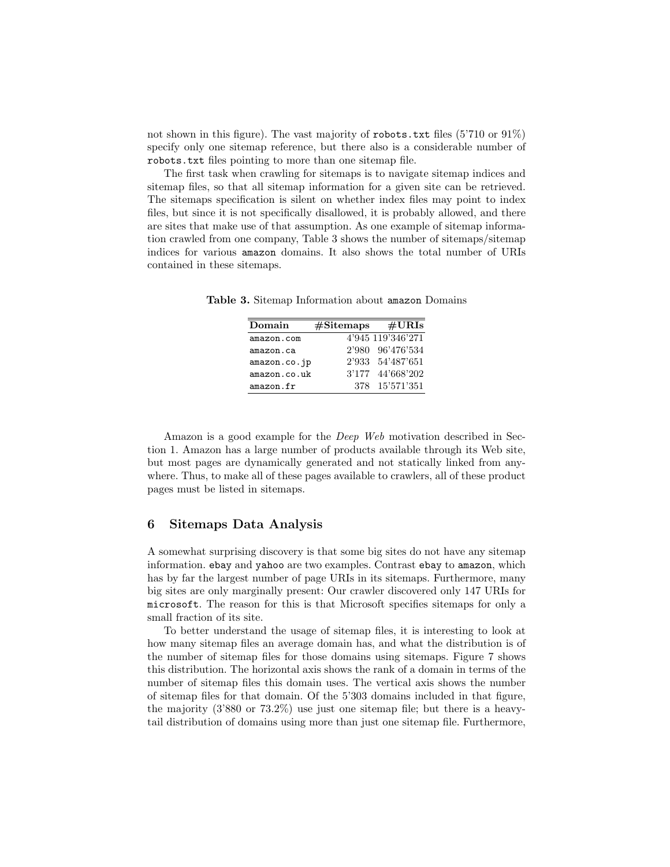<span id="page-9-0"></span>not shown in this figure). The vast majority of robots.txt files (5'710 or 91%) specify only one sitemap reference, but there also is a considerable number of robots.txt files pointing to more than one sitemap file.

The first task when crawling for sitemaps is to navigate sitemap indices and sitemap files, so that all sitemap information for a given site can be retrieved. The sitemaps specification is silent on whether index files may point to index files, but since it is not specifically disallowed, it is probably allowed, and there are sites that make use of that assumption. As one example of sitemap information crawled from one company, Table 3 shows the number of sitemaps/sitemap indices for various amazon domains. It also shows the total number of URIs contained in these sitemaps.

| Domain       | $# \text{Sitemaps}$ | $\#\mathrm{URLs}$ |
|--------------|---------------------|-------------------|
| amazon.com   |                     | 4'945 119'346'271 |
| amazon.ca    |                     | 2'980 96'476'534  |
| amazon.co.jp |                     | 2'933 54'487'651  |
| amazon.co.uk |                     | 3'177 44'668'202  |
| amazon.fr    |                     | 378 15'571'351    |

Table 3. Sitemap Information about amazon Domains

Amazon is a good example for the Deep Web motivation described in Section [1.](#page-0-0) Amazon has a large number of products available through its Web site, but most pages are dynamically generated and not statically linked from anywhere. Thus, to make all of these pages available to crawlers, all of these product pages must be listed in sitemaps.

#### 6 Sitemaps Data Analysis

A somewhat surprising discovery is that some big sites do not have any sitemap information. ebay and yahoo are two examples. Contrast ebay to amazon, which has by far the largest number of page URIs in its sitemaps. Furthermore, many big sites are only marginally present: Our crawler discovered only 147 URIs for microsoft. The reason for this is that Microsoft specifies sitemaps for only a small fraction of its site.

To better understand the usage of sitemap files, it is interesting to look at how many sitemap files an average domain has, and what the distribution is of the number of sitemap files for those domains using sitemaps. Figure [7](#page-10-0) shows this distribution. The horizontal axis shows the rank of a domain in terms of the number of sitemap files this domain uses. The vertical axis shows the number of sitemap files for that domain. Of the 5'303 domains included in that figure, the majority (3'880 or 73.2%) use just one sitemap file; but there is a heavytail distribution of domains using more than just one sitemap file. Furthermore,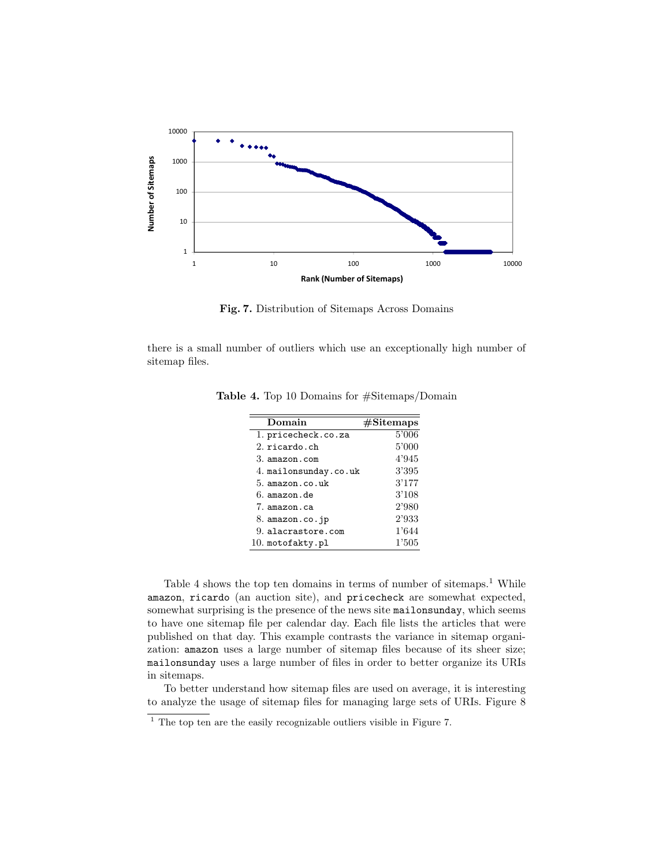<span id="page-10-0"></span>

Fig. 7. Distribution of Sitemaps Across Domains

there is a small number of outliers which use an exceptionally high number of sitemap files.

| Domain                | $\# \text{Sitemaps}$ |
|-----------------------|----------------------|
| 1. pricecheck.co.za   | 5'006                |
| 2. ricardo.ch         | 5'000                |
| $3.$ amazon.com       | 4'945                |
| 4. mailonsunday.co.uk | 3'395                |
| $5.$ amazon.co.uk     | 3'177                |
| 6. amazon.de          | 3'108                |
| 7. amazon.ca          | 2'980                |
| 8. amazon.co.jp       | 2'933                |
| 9. alacrastore.com    | 1'644                |
| $10.$ motofakty.pl    | 1'505                |

Table 4. Top 10 Domains for #Sitemaps/Domain

Table 4 shows the top ten domains in terms of number of sitemaps.<sup>1</sup> While amazon, ricardo (an auction site), and pricecheck are somewhat expected, somewhat surprising is the presence of the news site mailonsunday, which seems to have one sitemap file per calendar day. Each file lists the articles that were published on that day. This example contrasts the variance in sitemap organization: amazon uses a large number of sitemap files because of its sheer size; mailonsunday uses a large number of files in order to better organize its URIs in sitemaps.

To better understand how sitemap files are used on average, it is interesting to analyze the usage of sitemap files for managing large sets of URIs. Figure [8](#page-11-0)

 $\frac{1}{1}$  The top ten are the easily recognizable outliers visible in Figure 7.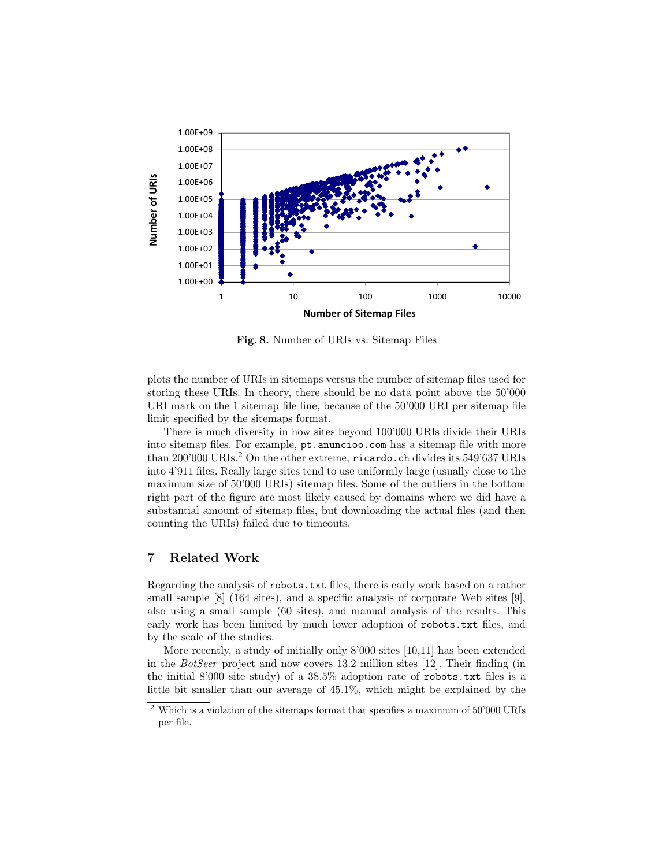<span id="page-11-0"></span>

Fig. 8. Number of URIs vs. Sitemap Files

plots the number of URIs in sitemaps versus the number of sitemap files used for storing these URIs. In theory, there should be no data point above the 50'000 URI mark on the 1 sitemap file line, because of the 50'000 URI per sitemap file limit specified by the sitemaps format.

There is much diversity in how sites beyond 100'000 URIs divide their URIs into sitemap files. For example, pt.anuncioo.com has a sitemap file with more than 200'000 URIs.<sup>2</sup> On the other extreme, ricardo.ch divides its 549'637 URIs into 4'911 files. Really large sites tend to use uniformly large (usually close to the maximum size of 50'000 URIs) sitemap files. Some of the outliers in the bottom right part of the figure are most likely caused by domains where we did have a substantial amount of sitemap files, but downloading the actual files (and then counting the URIs) failed due to timeouts.

# 7 Related Work

Regarding the analysis of robots.txt files, there is early work based on a rather small sample [\[8\]](#page-14-0) (164 sites), and a specific analysis of corporate Web sites [\[9\]](#page-14-0), also using a small sample (60 sites), and manual analysis of the results. This early work has been limited by much lower adoption of robots.txt files, and by the scale of the studies.

More recently, a study of initially only 8'000 sites [\[10,11\]](#page-14-0) has been extended in the BotSeer project and now covers 13.2 million sites [\[12\]](#page-14-0). Their finding (in the initial 8'000 site study) of a 38.5% adoption rate of robots.txt files is a little bit smaller than our average of 45.1%, which might be explained by the

 $^2$  Which is a violation of the sitemaps format that specifies a maximum of 50'000 URIs per file.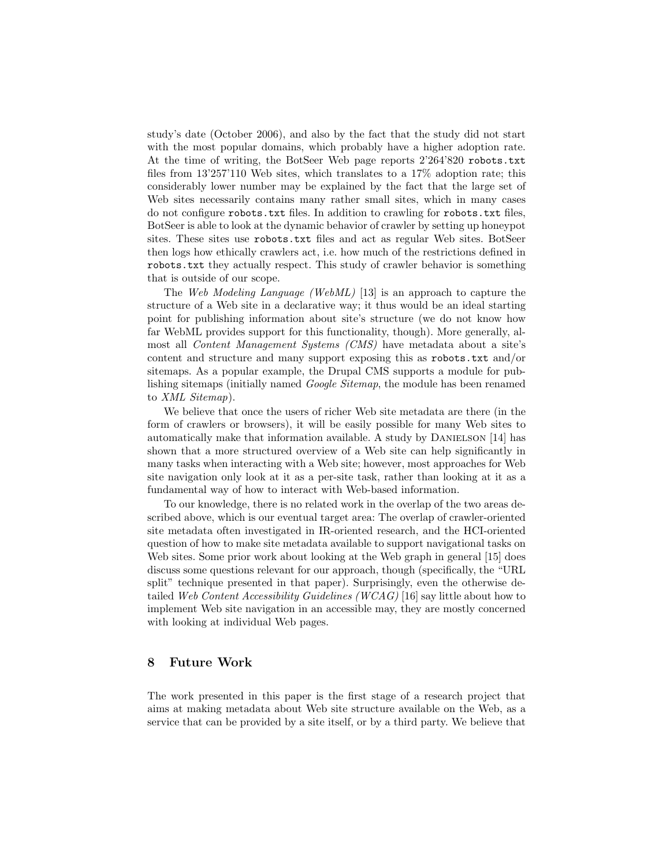<span id="page-12-0"></span>study's date (October 2006), and also by the fact that the study did not start with the most popular domains, which probably have a higher adoption rate. At the time of writing, the BotSeer Web page reports 2'264'820 robots.txt files from 13'257'110 Web sites, which translates to a 17% adoption rate; this considerably lower number may be explained by the fact that the large set of Web sites necessarily contains many rather small sites, which in many cases do not configure robots.txt files. In addition to crawling for robots.txt files, BotSeer is able to look at the dynamic behavior of crawler by setting up honeypot sites. These sites use robots.txt files and act as regular Web sites. BotSeer then logs how ethically crawlers act, i.e. how much of the restrictions defined in robots.txt they actually respect. This study of crawler behavior is something that is outside of our scope.

The Web Modeling Language (WebML) [\[13\]](#page-14-0) is an approach to capture the structure of a Web site in a declarative way; it thus would be an ideal starting point for publishing information about site's structure (we do not know how far WebML provides support for this functionality, though). More generally, almost all Content Management Systems (CMS) have metadata about a site's content and structure and many support exposing this as robots.txt and/or sitemaps. As a popular example, the Drupal CMS supports a module for publishing sitemaps (initially named Google Sitemap, the module has been renamed to XML Sitemap).

We believe that once the users of richer Web site metadata are there (in the form of crawlers or browsers), it will be easily possible for many Web sites to automatically make that information available. A study by Danielson [\[14\]](#page-14-0) has shown that a more structured overview of a Web site can help significantly in many tasks when interacting with a Web site; however, most approaches for Web site navigation only look at it as a per-site task, rather than looking at it as a fundamental way of how to interact with Web-based information.

To our knowledge, there is no related work in the overlap of the two areas described above, which is our eventual target area: The overlap of crawler-oriented site metadata often investigated in IR-oriented research, and the HCI-oriented question of how to make site metadata available to support navigational tasks on Web sites. Some prior work about looking at the Web graph in general [\[15\]](#page-14-0) does discuss some questions relevant for our approach, though (specifically, the "URL split" technique presented in that paper). Surprisingly, even the otherwise detailed Web Content Accessibility Guidelines (WCAG) [\[16\]](#page-14-0) say little about how to implement Web site navigation in an accessible may, they are mostly concerned with looking at individual Web pages.

# 8 Future Work

The work presented in this paper is the first stage of a research project that aims at making metadata about Web site structure available on the Web, as a service that can be provided by a site itself, or by a third party. We believe that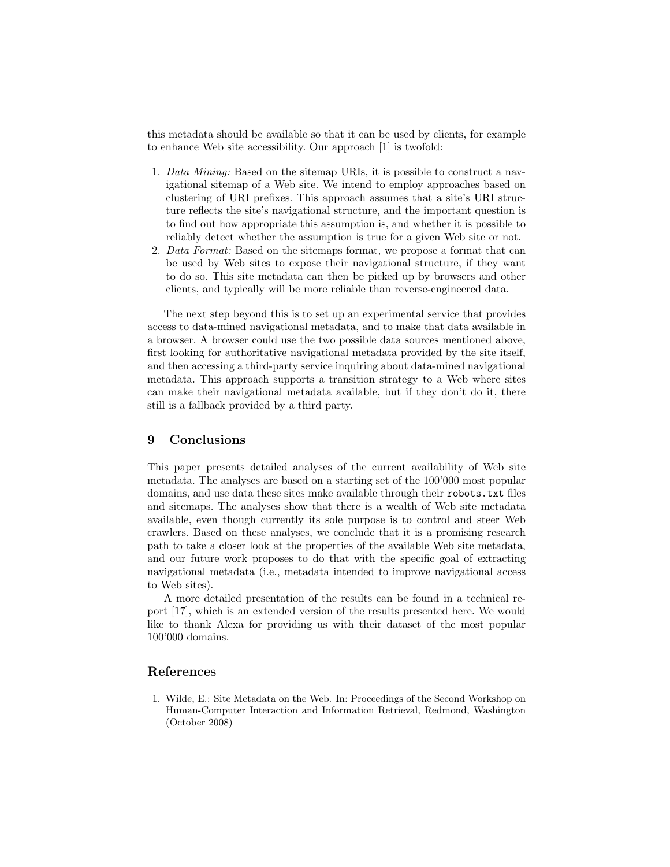<span id="page-13-0"></span>this metadata should be available so that it can be used by clients, for example to enhance Web site accessibility. Our approach [1] is twofold:

- 1. Data Mining: Based on the sitemap URIs, it is possible to construct a navigational sitemap of a Web site. We intend to employ approaches based on clustering of URI prefixes. This approach assumes that a site's URI structure reflects the site's navigational structure, and the important question is to find out how appropriate this assumption is, and whether it is possible to reliably detect whether the assumption is true for a given Web site or not.
- 2. Data Format: Based on the sitemaps format, we propose a format that can be used by Web sites to expose their navigational structure, if they want to do so. This site metadata can then be picked up by browsers and other clients, and typically will be more reliable than reverse-engineered data.

The next step beyond this is to set up an experimental service that provides access to data-mined navigational metadata, and to make that data available in a browser. A browser could use the two possible data sources mentioned above, first looking for authoritative navigational metadata provided by the site itself, and then accessing a third-party service inquiring about data-mined navigational metadata. This approach supports a transition strategy to a Web where sites can make their navigational metadata available, but if they don't do it, there still is a fallback provided by a third party.

## 9 Conclusions

This paper presents detailed analyses of the current availability of Web site metadata. The analyses are based on a starting set of the 100'000 most popular domains, and use data these sites make available through their robots.txt files and sitemaps. The analyses show that there is a wealth of Web site metadata available, even though currently its sole purpose is to control and steer Web crawlers. Based on these analyses, we conclude that it is a promising research path to take a closer look at the properties of the available Web site metadata, and our future work proposes to do that with the specific goal of extracting navigational metadata (i.e., metadata intended to improve navigational access to Web sites).

A more detailed presentation of the results can be found in a technical report [\[17\]](#page-14-0), which is an extended version of the results presented here. We would like to thank Alexa for providing us with their dataset of the most popular 100'000 domains.

#### References

1. Wilde, E.: Site Metadata on the Web. In: Proceedings of the Second Workshop on Human-Computer Interaction and Information Retrieval, Redmond, Washington (October 2008)